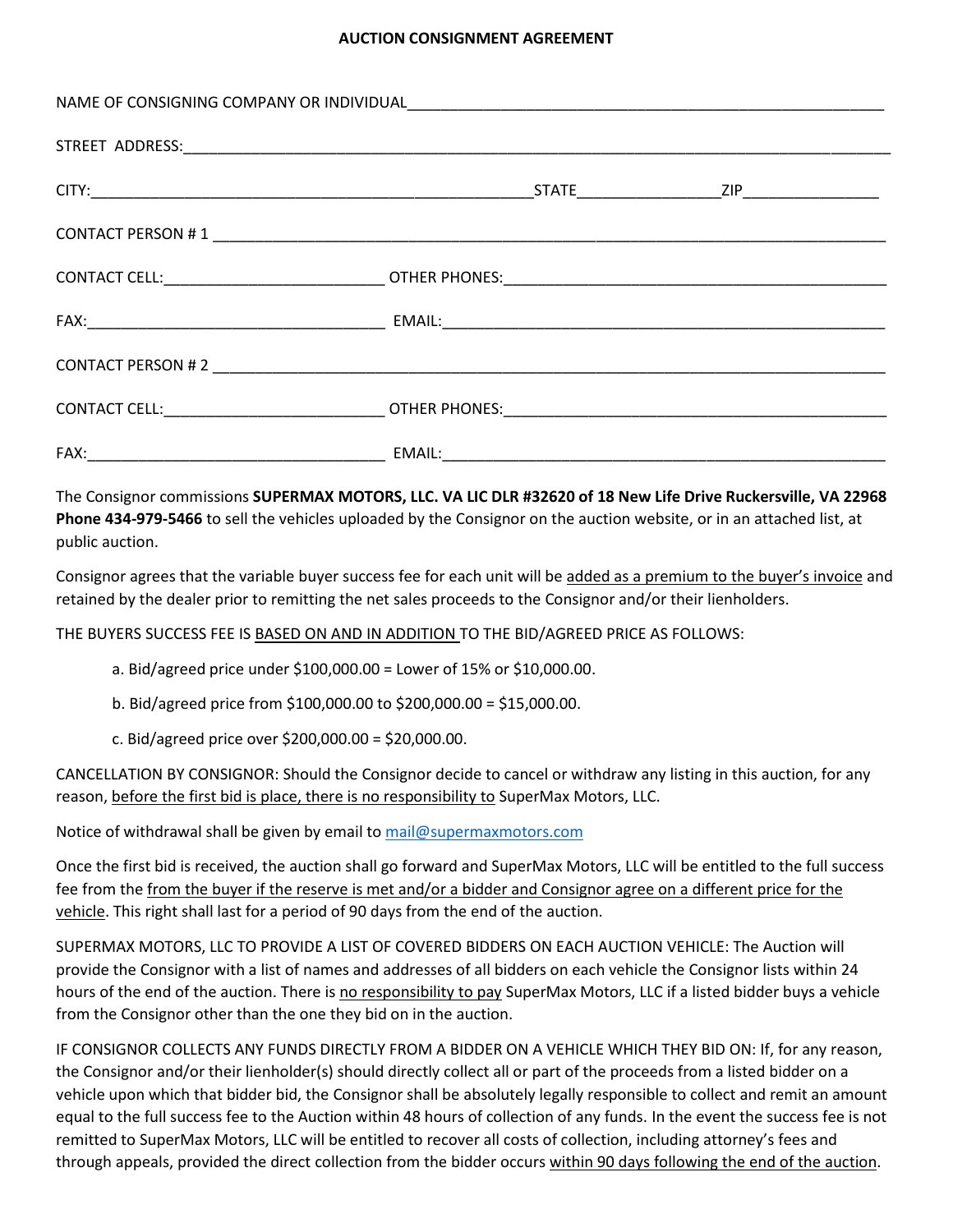## **AUCTION CONSIGNMENT AGREEMENT**

The Consignor commissions **SUPERMAX MOTORS, LLC. VA LIC DLR #32620 of 18 New Life Drive Ruckersville, VA 22968 Phone 434-979-5466** to sell the vehicles uploaded by the Consignor on the auction website, or in an attached list, at public auction.

Consignor agrees that the variable buyer success fee for each unit will be added as a premium to the buyer's invoice and retained by the dealer prior to remitting the net sales proceeds to the Consignor and/or their lienholders.

THE BUYERS SUCCESS FEE IS BASED ON AND IN ADDITION TO THE BID/AGREED PRICE AS FOLLOWS:

- a. Bid/agreed price under \$100,000.00 = Lower of 15% or \$10,000.00.
- b. Bid/agreed price from \$100,000.00 to \$200,000.00 = \$15,000.00.
- c. Bid/agreed price over \$200,000.00 = \$20,000.00.

CANCELLATION BY CONSIGNOR: Should the Consignor decide to cancel or withdraw any listing in this auction, for any reason, before the first bid is place, there is no responsibility to SuperMax Motors, LLC.

Notice of withdrawal shall be given by email t[o mail@supermaxmotors.com](mailto:mail@supermaxmotors.com)

Once the first bid is received, the auction shall go forward and SuperMax Motors, LLC will be entitled to the full success fee from the from the buyer if the reserve is met and/or a bidder and Consignor agree on a different price for the vehicle. This right shall last for a period of 90 days from the end of the auction.

SUPERMAX MOTORS, LLC TO PROVIDE A LIST OF COVERED BIDDERS ON EACH AUCTION VEHICLE: The Auction will provide the Consignor with a list of names and addresses of all bidders on each vehicle the Consignor lists within 24 hours of the end of the auction. There is no responsibility to pay SuperMax Motors, LLC if a listed bidder buys a vehicle from the Consignor other than the one they bid on in the auction.

IF CONSIGNOR COLLECTS ANY FUNDS DIRECTLY FROM A BIDDER ON A VEHICLE WHICH THEY BID ON: If, for any reason, the Consignor and/or their lienholder(s) should directly collect all or part of the proceeds from a listed bidder on a vehicle upon which that bidder bid, the Consignor shall be absolutely legally responsible to collect and remit an amount equal to the full success fee to the Auction within 48 hours of collection of any funds. In the event the success fee is not remitted to SuperMax Motors, LLC will be entitled to recover all costs of collection, including attorney's fees and through appeals, provided the direct collection from the bidder occurs within 90 days following the end of the auction.